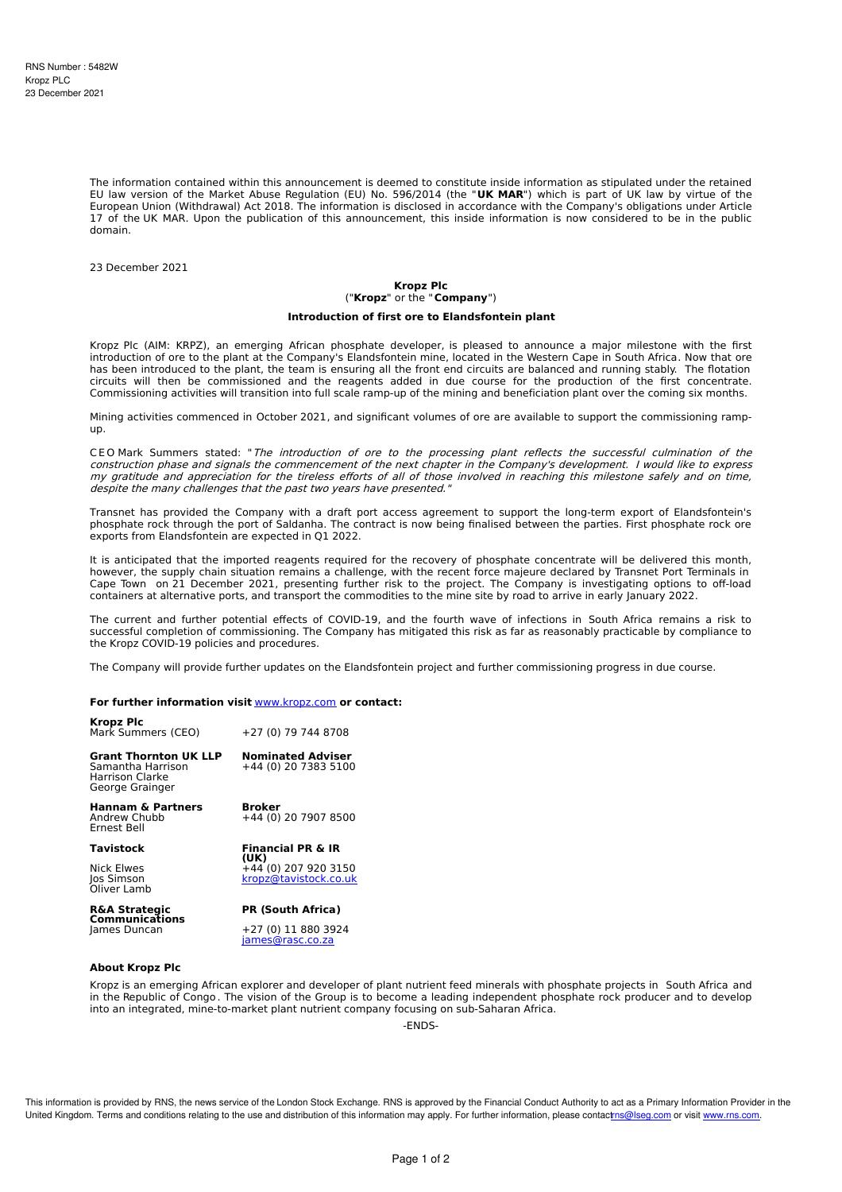The information contained within this announcement is deemed to constitute inside information as stipulated under the retained EU law version of the Market Abuse Regulation (EU) No. 596/2014 (the "**UK MAR**") which is part of UK law by virtue of the European Union (Withdrawal) Act 2018. The information is disclosed in accordance with the Company's obligations under Article 17 of the UK MAR. Upon the publication of this announcement, this inside information is now considered to be in the public domain.

23 December 2021

# **Kropz Plc** ("**Kropz**" or the "**Company**")

### **Introduction of first ore to Elandsfontein plant**

Kropz Plc (AIM: KRPZ), an emerging African phosphate developer, is pleased to announce a major milestone with the first introduction of ore to the plant at the Company's Elandsfontein mine, located in the Western Cape in South Africa. Now that ore has been introduced to the plant, the team is ensuring all the front end circuits are balanced and running stably. The flotation circuits will then be commissioned and the reagents added in due course for the production of the first concentrate. Commissioning activities will transition into full scale ramp-up of the mining and beneficiation plant over the coming six months.

Mining activities commenced in October 2021, and significant volumes of ore are available to support the commissioning rampup.

CEO Mark Summers stated: "The introduction of ore to the processing plant reflects the successful culmination of the construction phase and signals the commencement of the next chapter in the Company's development. I would like to express my gratitude and appreciation for the tireless efforts of all of those involved in reaching this milestone safely and on time, despite the many challenges that the past two years have presented."

Transnet has provided the Company with a draft port access agreement to support the long-term export of Elandsfontein's phosphate rock through the port of Saldanha. The contract is now being finalised between the parties. First phosphate rock ore exports from Elandsfontein are expected in Q1 2022.

It is anticipated that the imported reagents required for the recovery of phosphate concentrate will be delivered this month, however, the supply chain situation remains a challenge, with the recent force majeure declared by Transnet Port Terminals in Cape Town on 21 December 2021, presenting further risk to the project. The Company is investigating options to off-load containers at alternative ports, and transport the commodities to the mine site by road to arrive in early January 2022.

The current and further potential effects of COVID-19, and the fourth wave of infections in South Africa remains a risk to successful completion of commissioning. The Company has mitigated this risk as far as reasonably practicable by compliance to the Kropz COVID-19 policies and procedures.

The Company will provide further updates on the Elandsfontein project and further commissioning progress in due course.

### **For further information visit** [www.kropz.com](http://www.kropz.com) **or contact:**

| <b>Kropz Plc</b><br>Mark Summers (CEO)                                                  | +27 (0) 79 744 8708                                   |
|-----------------------------------------------------------------------------------------|-------------------------------------------------------|
| <b>Grant Thornton UK LLP</b><br>Samantha Harrison<br>Harrison Clarke<br>George Grainger | <b>Nominated Adviser</b><br>+44 (0) 20 7383 5100      |
| <b>Hannam &amp; Partners</b><br>Andrew Chubb<br>Ernest Bell                             | Broker<br>+44 (0) 20 7907 8500                        |
| Tavistock                                                                               | <b>Financial PR &amp; IR</b>                          |
| Nick Elwes<br>Jos Simson<br>Öliver Lamb                                                 | (UK)<br>+44 (0) 207 920 3150<br>kropz@tavistock.co.uk |
| <b>R&amp;A Strategic</b><br><b>Communications</b>                                       | <b>PR (South Africa)</b>                              |
| James Duncan                                                                            | +27 (0) 11 880 3924<br>james@rasc.co.za               |

#### **About Kropz Plc**

Kropz is an emerging African explorer and developer of plant nutrient feed minerals with phosphate projects in South Africa and in the Republic of Congo . The vision of the Group is to become a leading independent phosphate rock producer and to develop into an integrated, mine-to-market plant nutrient company focusing on sub-Saharan Africa.

-ENDS-

This information is provided by RNS, the news service of the London Stock Exchange. RNS is approved by the Financial Conduct Authority to act as a Primary Information Provider in the United Kingdom. Terms and conditions relating to the use and distribution of this information may apply. For further information, please contac[trns@lseg.com](mailto:rns@lseg.com) or visit [www.rns.com](http://www.rns.com/).